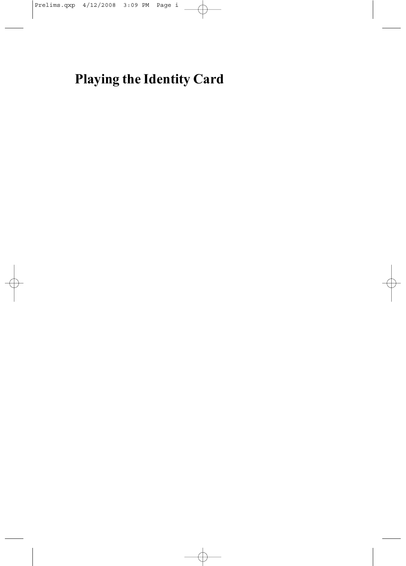## **Playing the Identity Card**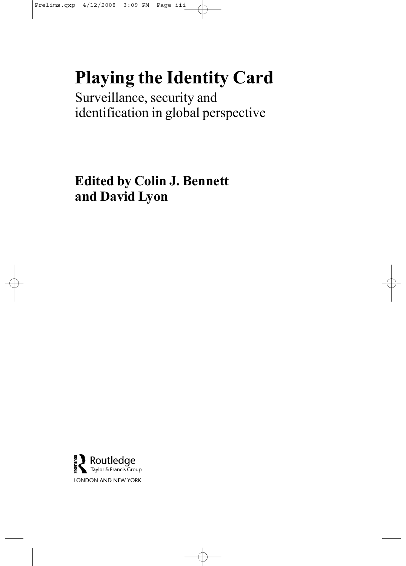# **Playing the Identity Card**

Surveillance, security and identification in global perspective

**Edited by Colin J. Bennett and David Lyon**

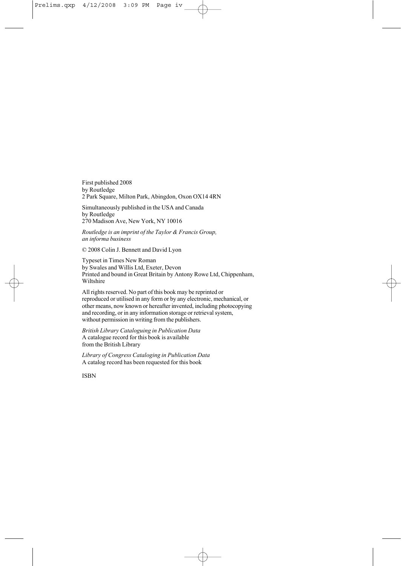First published 2008 by Routledge 2 Park Square, Milton Park, Abingdon, Oxon OX14 4RN

Simultaneously published in the USA and Canada by Routledge 270 Madison Ave, New York, NY 10016

*Routledge is an imprint of the Taylor & Francis Group, an informa business*

© 2008 Colin J. Bennett and David Lyon

Typeset in Times New Roman by Swales and Willis Ltd, Exeter, Devon Printed and bound in Great Britain by Antony Rowe Ltd, Chippenham, Wiltshire

All rights reserved. No part of this book may be reprinted or reproduced or utilised in any form or by any electronic, mechanical, or other means, now known or hereafter invented, including photocopying and recording, or in any information storage or retrieval system, without permission in writing from the publishers.

*British Library Cataloguing in Publication Data* A catalogue record for this book is available from the British Library

*Library of Congress Cataloging in Publication Data* A catalog record has been requested for this book

ISBN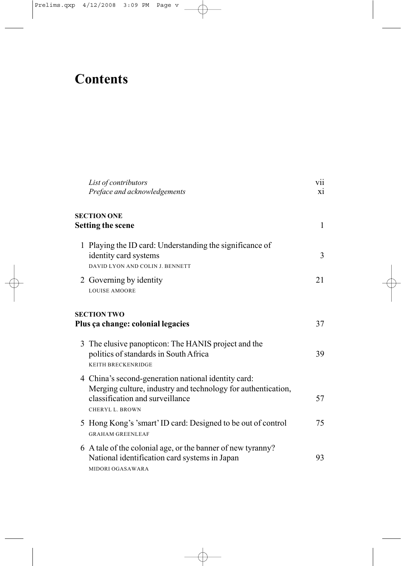## **Contents**

|                                                         | List of contributors<br>Preface and acknowledgements                                                                                                                      | V11<br>XI    |
|---------------------------------------------------------|---------------------------------------------------------------------------------------------------------------------------------------------------------------------------|--------------|
|                                                         | <b>SECTION ONE</b><br><b>Setting the scene</b>                                                                                                                            | $\mathbf{1}$ |
|                                                         | 1 Playing the ID card: Understanding the significance of<br>identity card systems<br>DAVID LYON AND COLIN J. BENNETT                                                      | 3            |
|                                                         | 2 Governing by identity<br><b>LOUISE AMOORE</b>                                                                                                                           | 21           |
| <b>SECTION TWO</b><br>Plus ça change: colonial legacies |                                                                                                                                                                           | 37           |
|                                                         | 3 The elusive panopticon: The HANIS project and the<br>politics of standards in South Africa<br>KEITH BRECKENRIDGE                                                        | 39           |
|                                                         | 4 China's second-generation national identity card:<br>Merging culture, industry and technology for authentication,<br>classification and surveillance<br>CHERYL L. BROWN | 57           |
|                                                         | 5 Hong Kong's 'smart' ID card: Designed to be out of control<br><b>GRAHAM GREENLEAF</b>                                                                                   | 75           |
|                                                         | 6 A tale of the colonial age, or the banner of new tyranny?<br>National identification card systems in Japan<br>MIDORI OGASAWARA                                          | 93           |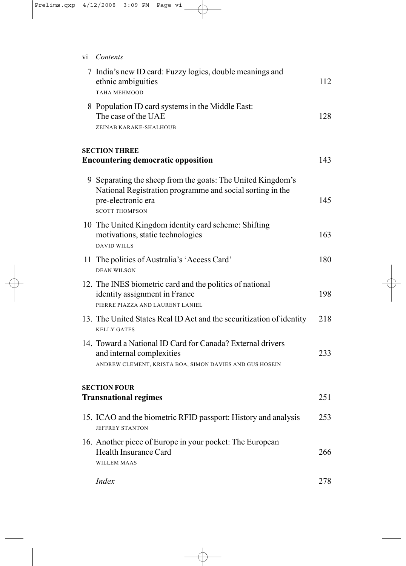vi *Contents*

| 7 India's new ID card: Fuzzy logics, double meanings and<br>ethnic ambiguities<br><b>TAHA MEHMOOD</b>                                                                   | 112 |
|-------------------------------------------------------------------------------------------------------------------------------------------------------------------------|-----|
| 8 Population ID card systems in the Middle East:<br>The case of the UAE<br>ZEINAB KARAKE-SHALHOUB                                                                       | 128 |
| <b>SECTION THREE</b><br><b>Encountering democratic opposition</b>                                                                                                       | 143 |
| 9 Separating the sheep from the goats: The United Kingdom's<br>National Registration programme and social sorting in the<br>pre-electronic era<br><b>SCOTT THOMPSON</b> | 145 |
| 10 The United Kingdom identity card scheme: Shifting<br>motivations, static technologies<br><b>DAVID WILLS</b>                                                          | 163 |
| 11 The politics of Australia's 'Access Card'<br><b>DEAN WILSON</b>                                                                                                      | 180 |
| 12. The INES biometric card and the politics of national<br>identity assignment in France<br>PIERRE PIAZZA AND LAURENT LANIEL                                           | 198 |
| 13. The United States Real ID Act and the securitization of identity<br><b>KELLY GATES</b>                                                                              | 218 |
| 14. Toward a National ID Card for Canada? External drivers<br>and internal complexities<br>ANDREW CLEMENT, KRISTA BOA, SIMON DAVIES AND GUS HOSEIN                      | 233 |
| <b>SECTION FOUR</b><br><b>Transnational regimes</b>                                                                                                                     | 251 |
| 15. ICAO and the biometric RFID passport: History and analysis<br><b>JEFFREY STANTON</b>                                                                                | 253 |
| 16. Another piece of Europe in your pocket: The European<br>Health Insurance Card<br>WILLEM MAAS                                                                        | 266 |
| <b>Index</b>                                                                                                                                                            | 278 |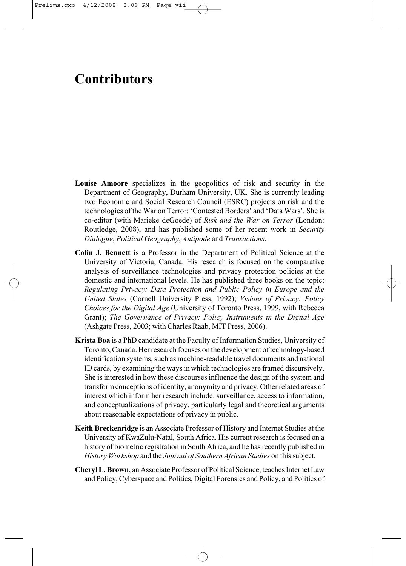### **Contributors**

- **Louise Amoore** specializes in the geopolitics of risk and security in the Department of Geography, Durham University, UK. She is currently leading two Economic and Social Research Council (ESRC) projects on risk and the technologies of the War on Terror: 'Contested Borders' and 'Data Wars'. She is co-editor (with Marieke deGoede) of *Risk and the War on Terror* (London: Routledge, 2008), and has published some of her recent work in *Security Dialogue*, *Political Geography*, *Antipode* and *Transactions*.
- **Colin J. Bennett** is a Professor in the Department of Political Science at the University of Victoria, Canada. His research is focused on the comparative analysis of surveillance technologies and privacy protection policies at the domestic and international levels. He has published three books on the topic: *Regulating Privacy: Data Protection and Public Policy in Europe and the United States* (Cornell University Press, 1992); *Visions of Privacy: Policy Choices for the Digital Age* (University of Toronto Press, 1999, with Rebecca Grant); *The Governance of Privacy: Policy Instruments in the Digital Age* (Ashgate Press, 2003; with Charles Raab, MIT Press, 2006).
- **Krista Boa** is a PhD candidate at the Faculty of Information Studies, University of Toronto, Canada. Her research focuses on the development of technology-based identification systems, such as machine-readable travel documents and national ID cards, by examining the ways in which technologies are framed discursively. She is interested in how these discourses influence the design of the system and transform conceptions of identity, anonymity and privacy. Other related areas of interest which inform her research include: surveillance, access to information, and conceptualizations of privacy, particularly legal and theoretical arguments about reasonable expectations of privacy in public.
- **Keith Breckenridge** is an Associate Professor of History and Internet Studies at the University of KwaZulu-Natal, South Africa. His current research is focused on a history of biometric registration in South Africa, and he has recently published in *History Workshop* and the *Journal of Southern African Studies* on this subject.
- **Cheryl L. Brown**, an Associate Professor of Political Science, teaches Internet Law and Policy, Cyberspace and Politics, Digital Forensics and Policy, and Politics of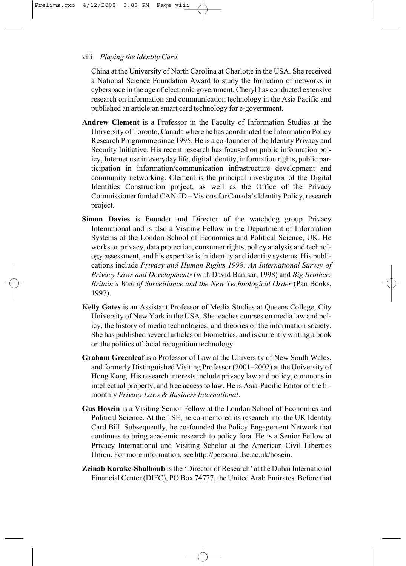#### viii *Playing the Identity Card*

China at the University of North Carolina at Charlotte in the USA. She received a National Science Foundation Award to study the formation of networks in cyberspace in the age of electronic government. Cheryl has conducted extensive research on information and communication technology in the Asia Pacific and published an article on smart card technology for e-government.

- **Andrew Clement** is a Professor in the Faculty of Information Studies at the University of Toronto, Canada where he has coordinated the Information Policy Research Programme since 1995. He is a co-founder of the Identity Privacy and Security Initiative. His recent research has focused on public information policy, Internet use in everyday life, digital identity, information rights, public participation in information/communication infrastructure development and community networking. Clement is the principal investigator of the Digital Identities Construction project, as well as the Office of the Privacy Commissioner funded CAN-ID – Visions for Canada's Identity Policy, research project.
- **Simon Davies** is Founder and Director of the watchdog group Privacy International and is also a Visiting Fellow in the Department of Information Systems of the London School of Economics and Political Science, UK. He works on privacy, data protection, consumer rights, policy analysis and technology assessment, and his expertise is in identity and identity systems. His publications include *Privacy and Human Rights 1998: An International Survey of Privacy Laws and Developments* (with David Banisar, 1998) and *Big Brother: Britain's Web of Surveillance and the New Technological Order* (Pan Books, 1997).
- **Kelly Gates** is an Assistant Professor of Media Studies at Queens College, City University of New York in the USA. She teaches courses on media law and policy, the history of media technologies, and theories of the information society. She has published several articles on biometrics, and is currently writing a book on the politics of facial recognition technology.
- **Graham Greenleaf** is a Professor of Law at the University of New South Wales, and formerly Distinguished Visiting Professor (2001–2002) at the University of Hong Kong. His research interests include privacy law and policy, commons in intellectual property, and free access to law. He is Asia-Pacific Editor of the bimonthly *Privacy Laws & Business International*.
- **Gus Hosein** is a Visiting Senior Fellow at the London School of Economics and Political Science. At the LSE, he co-mentored its research into the UK Identity Card Bill. Subsequently, he co-founded the Policy Engagement Network that continues to bring academic research to policy fora. He is a Senior Fellow at Privacy International and Visiting Scholar at the American Civil Liberties Union. For more information, see http://personal.lse.ac.uk/hosein.
- **Zeinab Karake-Shalhoub** is the 'Director of Research' at the Dubai International Financial Center (DIFC), PO Box 74777, the United Arab Emirates. Before that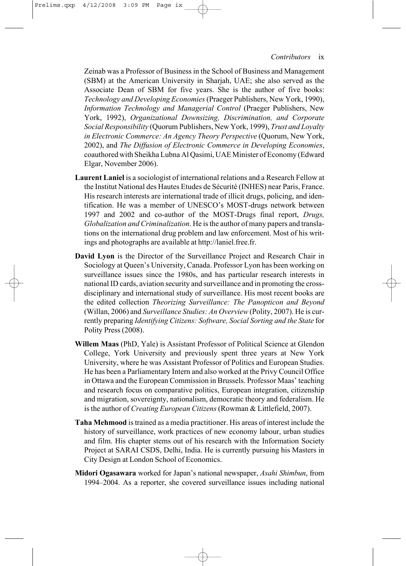Zeinab was a Professor of Business in the School of Business and Management (SBM) at the American University in Sharjah, UAE; she also served as the Associate Dean of SBM for five years. She is the author of five books: *Technology and Developing Economies*(Praeger Publishers, New York, 1990), *Information Technology and Managerial Control* (Praeger Publishers, New York, 1992), *Organizational Downsizing, Discrimination, and Corporate Social Responsibility* (Quorum Publishers, New York, 1999), *Trust and Loyalty in Electronic Commerce: An Agency Theory Perspective* (Quorum, New York, 2002), and *The Diffusion of Electronic Commerce in Developing Economies*, coauthored with Sheikha Lubna Al Qasimi, UAE Minister of Economy (Edward Elgar, November 2006).

- **Laurent Laniel** is a sociologist of international relations and a Research Fellow at the Institut National des Hautes Etudes de Sécurité (INHES) near Paris, France. His research interests are international trade of illicit drugs, policing, and identification. He was a member of UNESCO's MOST-drugs network between 1997 and 2002 and co-author of the MOST-Drugs final report, *Drugs, Globalization and Criminalization*. He is the author of many papers and translations on the international drug problem and law enforcement. Most of his writings and photographs are available at http://laniel.free.fr.
- **David Lyon** is the Director of the Surveillance Project and Research Chair in Sociology at Queen's University, Canada. Professor Lyon has been working on surveillance issues since the 1980s, and has particular research interests in national ID cards, aviation security and surveillance and in promoting the crossdisciplinary and international study of surveillance. His most recent books are the edited collection *Theorizing Surveillance: The Panopticon and Beyond* (Willan, 2006) and *Surveillance Studies: An Overview* (Polity, 2007). He is currently preparing *Identifying Citizens: Software, Social Sorting and the State* for Polity Press (2008).
- **Willem Maas** (PhD, Yale) is Assistant Professor of Political Science at Glendon College, York University and previously spent three years at New York University, where he was Assistant Professor of Politics and European Studies. He has been a Parliamentary Intern and also worked at the Privy Council Office in Ottawa and the European Commission in Brussels. Professor Maas' teaching and research focus on comparative politics, European integration, citizenship and migration, sovereignty, nationalism, democratic theory and federalism. He is the author of *Creating European Citizens* (Rowman & Littlefield, 2007).
- **Taha Mehmood** is trained as a media practitioner. His areas of interest include the history of surveillance, work practices of new economy labour, urban studies and film. His chapter stems out of his research with the Information Society Project at SARAI CSDS, Delhi, India. He is currently pursuing his Masters in City Design at London School of Economics.
- **Midori Ogasawara** worked for Japan's national newspaper, *Asahi Shimbun*, from 1994–2004. As a reporter, she covered surveillance issues including national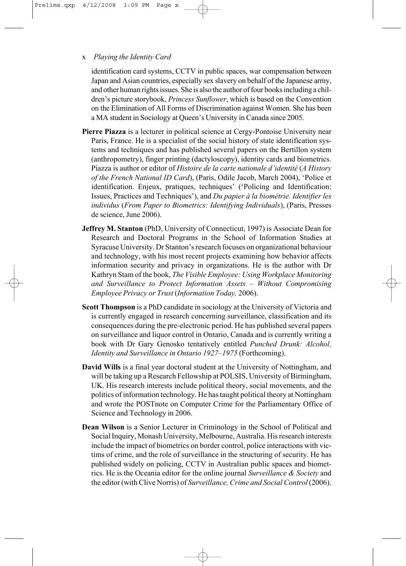#### x *Playing the Identity Card*

identification card systems, CCTV in public spaces, war compensation between Japan and Asian countries, especially sex slavery on behalf of the Japanese army, and other human rights issues. She is also the author of four books including a children's picture storybook, *Princess Sunflower*, which is based on the Convention on the Elimination of All Forms of Discrimination against Women. She has been a MA student in Sociology at Queen's University in Canada since 2005.

- **Pierre Piazza** is a lecturer in political science at Cergy-Pontoise University near Paris, France. He is a specialist of the social history of state identification systems and techniques and has published several papers on the Bertillon system (anthropometry), finger printing (dactyloscopy), identity cards and biometrics. Piazza is author or editor of *Histoire de la carte nationale d'identité* (*A History of the French National ID Card*), (Paris, Odile Jacob, March 2004), 'Police et identification. Enjeux, pratiques, techniques' ('Policing and Identification: Issues, Practices and Techniques'), and *Du papier à la biométrie. Identifier les individus* (*From Paper to Biometrics: Identifying Individuals*), (Paris, Presses de science, June 2006).
- **Jeffrey M. Stanton** (PhD, University of Connecticut, 1997) is Associate Dean for Research and Doctoral Programs in the School of Information Studies at Syracuse University. Dr Stanton's research focuses on organizational behaviour and technology, with his most recent projects examining how behavior affects information security and privacy in organizations. He is the author with Dr Kathryn Stam of the book, *The Visible Employee: Using Workplace Monitoring and Surveillance to Protect Information Assets – Without Compromising Employee Privacy or Trust* (*Information Today,* 2006).
- **Scott Thompson** is a PhD candidate in sociology at the University of Victoria and is currently engaged in research concerning surveillance, classification and its consequences during the pre-electronic period. He has published several papers on surveillance and liquor control in Ontario, Canada and is currently writing a book with Dr Gary Genosko tentatively entitled *Punched Drunk: Alcohol, Identity and Surveillance in Ontario 1927–1975* (Forthcoming).
- **David Wills** is a final year doctoral student at the University of Nottingham, and will be taking up a Research Fellowship at POLSIS, University of Birmingham, UK. His research interests include political theory, social movements, and the politics of information technology. He has taught political theory at Nottingham and wrote the POSTnote on Computer Crime for the Parliamentary Office of Science and Technology in 2006.
- **Dean Wilson** is a Senior Lecturer in Criminology in the School of Political and Social Inquiry, Monash University, Melbourne, Australia. His research interests include the impact of biometrics on border control, police interactions with victims of crime, and the role of surveillance in the structuring of security. He has published widely on policing, CCTV in Australian public spaces and biometrics. He is the Oceania editor for the online journal *Surveillance & Society* and the editor (with Clive Norris) of *Surveillance, Crime and Social Control* (2006).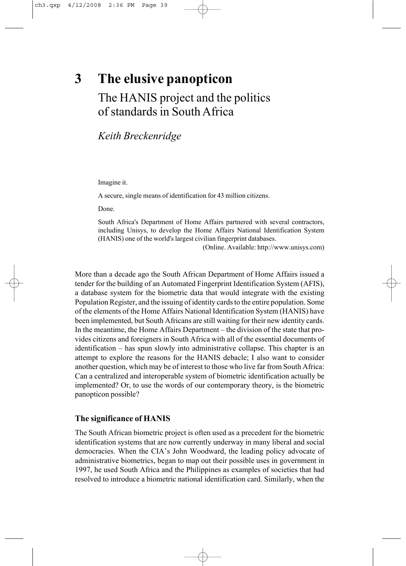### **3 The elusive panopticon**  The HANIS project and the politics of standards in South Africa

*Keith Breckenridge*

Imagine it.

A secure, single means of identification for 43 million citizens.

Done.

South Africa's Department of Home Affairs partnered with several contractors, including Unisys, to develop the Home Affairs National Identification System (HANIS) one of the world's largest civilian fingerprint databases.

(Online. Available: http://www.unisys.com)

More than a decade ago the South African Department of Home Affairs issued a tender for the building of an Automated Fingerprint Identification System (AFIS), a database system for the biometric data that would integrate with the existing Population Register, and the issuing of identity cards to the entire population. Some of the elements of the Home Affairs National Identification System (HANIS) have been implemented, but South Africans are still waiting for their new identity cards. In the meantime, the Home Affairs Department – the division of the state that provides citizens and foreigners in South Africa with all of the essential documents of identification – has spun slowly into administrative collapse. This chapter is an attempt to explore the reasons for the HANIS debacle; I also want to consider another question, which may be of interest to those who live far from South Africa: Can a centralized and interoperable system of biometric identification actually be implemented? Or, to use the words of our contemporary theory, is the biometric panopticon possible?

#### **The significance of HANIS**

The South African biometric project is often used as a precedent for the biometric identification systems that are now currently underway in many liberal and social democracies. When the CIA's John Woodward, the leading policy advocate of administrative biometrics, began to map out their possible uses in government in 1997, he used South Africa and the Philippines as examples of societies that had resolved to introduce a biometric national identification card. Similarly, when the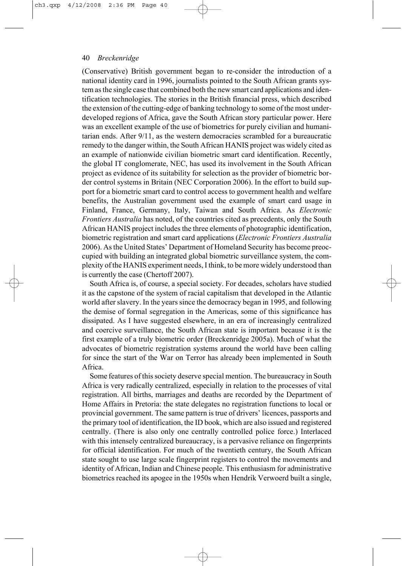(Conservative) British government began to re-consider the introduction of a national identity card in 1996, journalists pointed to the South African grants system as the single case that combined both the new smart card applications and identification technologies. The stories in the British financial press, which described the extension of the cutting-edge of banking technology to some of the most underdeveloped regions of Africa, gave the South African story particular power. Here was an excellent example of the use of biometrics for purely civilian and humanitarian ends. After 9/11, as the western democracies scrambled for a bureaucratic remedy to the danger within, the South African HANIS project was widely cited as an example of nationwide civilian biometric smart card identification. Recently, the global IT conglomerate, NEC, has used its involvement in the South African project as evidence of its suitability for selection as the provider of biometric border control systems in Britain (NEC Corporation 2006). In the effort to build support for a biometric smart card to control access to government health and welfare benefits, the Australian government used the example of smart card usage in Finland, France, Germany, Italy, Taiwan and South Africa. As *Electronic Frontiers Australia* has noted, of the countries cited as precedents, only the South African HANIS project includes the three elements of photographic identification, biometric registration and smart card applications (*Electronic Frontiers Australia* 2006). As the United States' Department of Homeland Security has become preoccupied with building an integrated global biometric surveillance system, the complexity of the HANIS experiment needs, I think, to be more widely understood than is currently the case (Chertoff 2007).

South Africa is, of course, a special society. For decades, scholars have studied it as the capstone of the system of racial capitalism that developed in the Atlantic world after slavery. In the years since the democracy began in 1995, and following the demise of formal segregation in the Americas, some of this significance has dissipated. As I have suggested elsewhere, in an era of increasingly centralized and coercive surveillance, the South African state is important because it is the first example of a truly biometric order (Breckenridge 2005a). Much of what the advocates of biometric registration systems around the world have been calling for since the start of the War on Terror has already been implemented in South Africa.

Some features of this society deserve special mention. The bureaucracy in South Africa is very radically centralized, especially in relation to the processes of vital registration. All births, marriages and deaths are recorded by the Department of Home Affairs in Pretoria: the state delegates no registration functions to local or provincial government. The same pattern is true of drivers' licences, passports and the primary tool of identification, the ID book, which are also issued and registered centrally. (There is also only one centrally controlled police force.) Interlaced with this intensely centralized bureaucracy, is a pervasive reliance on fingerprints for official identification. For much of the twentieth century, the South African state sought to use large scale fingerprint registers to control the movements and identity of African, Indian and Chinese people. This enthusiasm for administrative biometrics reached its apogee in the 1950s when Hendrik Verwoerd built a single,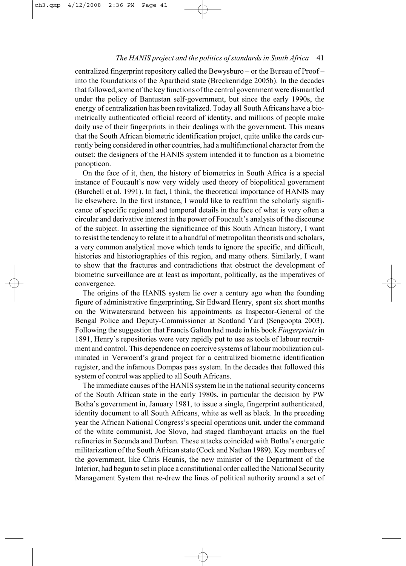centralized fingerprint repository called the Bewysburo – or the Bureau of Proof – into the foundations of the Apartheid state (Breckenridge 2005b). In the decades that followed, some of the key functions of the central government were dismantled under the policy of Bantustan self-government, but since the early 1990s, the energy of centralization has been revitalized. Today all South Africans have a biometrically authenticated official record of identity, and millions of people make daily use of their fingerprints in their dealings with the government. This means that the South African biometric identification project, quite unlike the cards currently being considered in other countries, had a multifunctional character from the outset: the designers of the HANIS system intended it to function as a biometric panopticon.

On the face of it, then, the history of biometrics in South Africa is a special instance of Foucault's now very widely used theory of biopolitical government (Burchell et al. 1991). In fact, I think, the theoretical importance of HANIS may lie elsewhere. In the first instance, I would like to reaffirm the scholarly significance of specific regional and temporal details in the face of what is very often a circular and derivative interest in the power of Foucault's analysis of the discourse of the subject. In asserting the significance of this South African history, I want to resist the tendency to relate it to a handful of metropolitan theorists and scholars, a very common analytical move which tends to ignore the specific, and difficult, histories and historiographies of this region, and many others. Similarly, I want to show that the fractures and contradictions that obstruct the development of biometric surveillance are at least as important, politically, as the imperatives of convergence.

The origins of the HANIS system lie over a century ago when the founding figure of administrative fingerprinting, Sir Edward Henry, spent six short months on the Witwatersrand between his appointments as Inspector-General of the Bengal Police and Deputy-Commissioner at Scotland Yard (Sengoopta 2003). Following the suggestion that Francis Galton had made in his book *Fingerprints*in 1891, Henry's repositories were very rapidly put to use as tools of labour recruitment and control. This dependence on coercive systems of labour mobilization culminated in Verwoerd's grand project for a centralized biometric identification register, and the infamous Dompas pass system. In the decades that followed this system of control was applied to all South Africans.

The immediate causes of the HANIS system lie in the national security concerns of the South African state in the early 1980s, in particular the decision by PW Botha's government in, January 1981, to issue a single, fingerprint authenticated, identity document to all South Africans, white as well as black. In the preceding year the African National Congress's special operations unit, under the command of the white communist, Joe Slovo, had staged flamboyant attacks on the fuel refineries in Secunda and Durban. These attacks coincided with Botha's energetic militarization of the South African state (Cock and Nathan 1989). Key members of the government, like Chris Heunis, the new minister of the Department of the Interior, had begun to set in place a constitutional order called the National Security Management System that re-drew the lines of political authority around a set of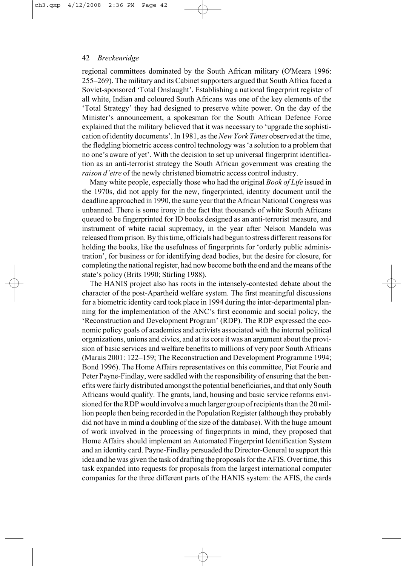regional committees dominated by the South African military (O'Meara 1996: 255–269). The military and its Cabinet supporters argued that South Africa faced a Soviet-sponsored 'Total Onslaught'. Establishing a national fingerprint register of all white, Indian and coloured South Africans was one of the key elements of the 'Total Strategy' they had designed to preserve white power. On the day of the Minister's announcement, a spokesman for the South African Defence Force explained that the military believed that it was necessary to 'upgrade the sophistication of identity documents'. In 1981, as the *New York Times* observed at the time, the fledgling biometric access control technology was 'a solution to a problem that no one's aware of yet'. With the decision to set up universal fingerprint identification as an anti-terrorist strategy the South African government was creating the *raison d'etre* of the newly christened biometric access control industry.

Many white people, especially those who had the original *Book of Life* issued in the 1970s, did not apply for the new, fingerprinted, identity document until the deadline approached in 1990, the same year that the African National Congress was unbanned. There is some irony in the fact that thousands of white South Africans queued to be fingerprinted for ID books designed as an anti-terrorist measure, and instrument of white racial supremacy, in the year after Nelson Mandela was released from prison. By this time, officials had begun to stress different reasons for holding the books, like the usefulness of fingerprints for 'orderly public administration', for business or for identifying dead bodies, but the desire for closure, for completing the national register, had now become both the end and the means of the state's policy (Brits 1990; Stirling 1988).

The HANIS project also has roots in the intensely-contested debate about the character of the post-Apartheid welfare system. The first meaningful discussions for a biometric identity card took place in 1994 during the inter-departmental planning for the implementation of the ANC's first economic and social policy, the 'Reconstruction and Development Program' (RDP). The RDP expressed the economic policy goals of academics and activists associated with the internal political organizations, unions and civics, and at its core it was an argument about the provision of basic services and welfare benefits to millions of very poor South Africans (Marais 2001: 122–159; The Reconstruction and Development Programme 1994; Bond 1996). The Home Affairs representatives on this committee, Piet Fourie and Peter Payne-Findlay, were saddled with the responsibility of ensuring that the benefits were fairly distributed amongst the potential beneficiaries, and that only South Africans would qualify. The grants, land, housing and basic service reforms envisioned for the RDP would involve a much larger group of recipients than the 20 million people then being recorded in the Population Register (although they probably did not have in mind a doubling of the size of the database). With the huge amount of work involved in the processing of fingerprints in mind, they proposed that Home Affairs should implement an Automated Fingerprint Identification System and an identity card. Payne-Findlay persuaded the Director-General to support this idea and he was given the task of drafting the proposals for the AFIS. Over time, this task expanded into requests for proposals from the largest international computer companies for the three different parts of the HANIS system: the AFIS, the cards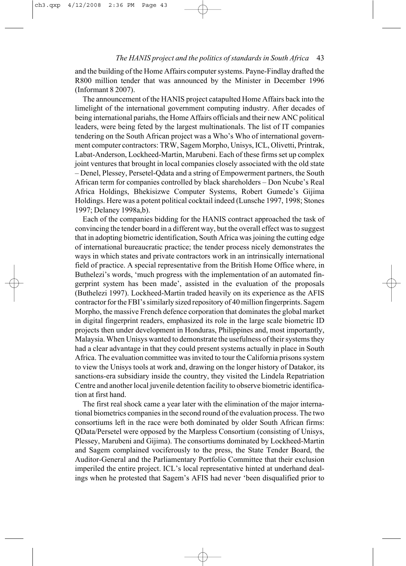and the building of the Home Affairs computer systems. Payne-Findlay drafted the R800 million tender that was announced by the Minister in December 1996 (Informant 8 2007).

The announcement of the HANIS project catapulted Home Affairs back into the limelight of the international government computing industry. After decades of being international pariahs, the Home Affairs officials and their new ANC political leaders, were being feted by the largest multinationals. The list of IT companies tendering on the South African project was a Who's Who of international government computer contractors: TRW, Sagem Morpho, Unisys, ICL, Olivetti, Printrak, Labat-Anderson, Lockheed-Martin, Marubeni. Each of these firms set up complex joint ventures that brought in local companies closely associated with the old state – Denel, Plessey, Persetel-Qdata and a string of Empowerment partners, the South African term for companies controlled by black shareholders – Don Ncube's Real Africa Holdings, Bhekisizwe Computer Systems, Robert Gumede's Gijima Holdings. Here was a potent political cocktail indeed (Lunsche 1997, 1998; Stones 1997; Delaney 1998a,b).

Each of the companies bidding for the HANIS contract approached the task of convincing the tender board in a different way, but the overall effect was to suggest that in adopting biometric identification, South Africa was joining the cutting edge of international bureaucratic practice; the tender process nicely demonstrates the ways in which states and private contractors work in an intrinsically international field of practice. A special representative from the British Home Office where, in Buthelezi's words, 'much progress with the implementation of an automated fingerprint system has been made', assisted in the evaluation of the proposals (Buthelezi 1997). Lockheed-Martin traded heavily on its experience as the AFIS contractor for the FBI's similarly sized repository of 40 million fingerprints. Sagem Morpho, the massive French defence corporation that dominates the global market in digital fingerprint readers, emphasized its role in the large scale biometric ID projects then under development in Honduras, Philippines and, most importantly, Malaysia. When Unisys wanted to demonstrate the usefulness of their systems they had a clear advantage in that they could present systems actually in place in South Africa. The evaluation committee was invited to tour the California prisons system to view the Unisys tools at work and, drawing on the longer history of Datakor, its sanctions-era subsidiary inside the country, they visited the Lindela Repatriation Centre and another local juvenile detention facility to observe biometric identification at first hand.

The first real shock came a year later with the elimination of the major international biometrics companies in the second round of the evaluation process. The two consortiums left in the race were both dominated by older South African firms: QData/Persetel were opposed by the Marpless Consortium (consisting of Unisys, Plessey, Marubeni and Gijima). The consortiums dominated by Lockheed-Martin and Sagem complained vociferously to the press, the State Tender Board, the Auditor-General and the Parliamentary Portfolio Committee that their exclusion imperiled the entire project. ICL's local representative hinted at underhand dealings when he protested that Sagem's AFIS had never 'been disqualified prior to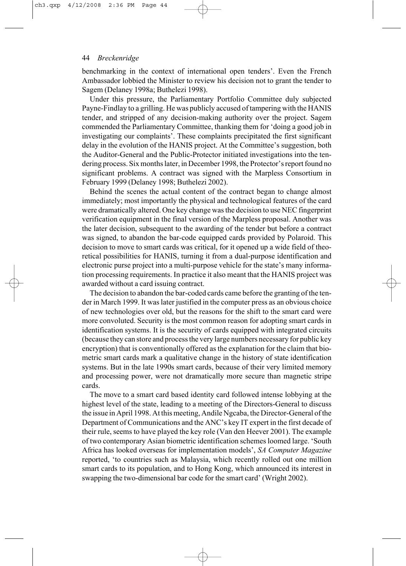benchmarking in the context of international open tenders'. Even the French Ambassador lobbied the Minister to review his decision not to grant the tender to Sagem (Delaney 1998a; Buthelezi 1998).

Under this pressure, the Parliamentary Portfolio Committee duly subjected Payne-Findlay to a grilling. He was publicly accused of tampering with the HANIS tender, and stripped of any decision-making authority over the project. Sagem commended the Parliamentary Committee, thanking them for 'doing a good job in investigating our complaints'. These complaints precipitated the first significant delay in the evolution of the HANIS project. At the Committee's suggestion, both the Auditor-General and the Public-Protector initiated investigations into the tendering process. Six months later, in December 1998, the Protector's report found no significant problems. A contract was signed with the Marpless Consortium in February 1999 (Delaney 1998; Buthelezi 2002).

Behind the scenes the actual content of the contract began to change almost immediately; most importantly the physical and technological features of the card were dramatically altered. One key change was the decision to use NEC fingerprint verification equipment in the final version of the Marpless proposal. Another was the later decision, subsequent to the awarding of the tender but before a contract was signed, to abandon the bar-code equipped cards provided by Polaroid. This decision to move to smart cards was critical, for it opened up a wide field of theoretical possibilities for HANIS, turning it from a dual-purpose identification and electronic purse project into a multi-purpose vehicle for the state's many information processing requirements. In practice it also meant that the HANIS project was awarded without a card issuing contract.

The decision to abandon the bar-coded cards came before the granting of the tender in March 1999. It was later justified in the computer press as an obvious choice of new technologies over old, but the reasons for the shift to the smart card were more convoluted. Security is the most common reason for adopting smart cards in identification systems. It is the security of cards equipped with integrated circuits (because they can store and process the very large numbers necessary for public key encryption) that is conventionally offered as the explanation for the claim that biometric smart cards mark a qualitative change in the history of state identification systems. But in the late 1990s smart cards, because of their very limited memory and processing power, were not dramatically more secure than magnetic stripe cards.

The move to a smart card based identity card followed intense lobbying at the highest level of the state, leading to a meeting of the Directors-General to discuss the issue in April 1998. At this meeting, Andile Ngcaba, the Director-General of the Department of Communications and the ANC's key IT expert in the first decade of their rule, seems to have played the key role (Van den Heever 2001). The example of two contemporary Asian biometric identification schemes loomed large. 'South Africa has looked overseas for implementation models', *SA Computer Magazine* reported, 'to countries such as Malaysia, which recently rolled out one million smart cards to its population, and to Hong Kong, which announced its interest in swapping the two-dimensional bar code for the smart card' (Wright 2002).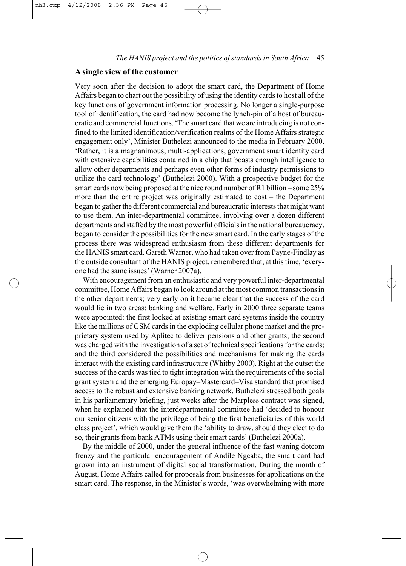#### **A single view of the customer**

Very soon after the decision to adopt the smart card, the Department of Home Affairs began to chart out the possibility of using the identity cards to host all of the key functions of government information processing. No longer a single-purpose tool of identification, the card had now become the lynch-pin of a host of bureaucratic and commercial functions. 'The smart card that we are introducing is not confined to the limited identification/verification realms of the Home Affairs strategic engagement only', Minister Buthelezi announced to the media in February 2000. 'Rather, it is a magnanimous, multi-applications, government smart identity card with extensive capabilities contained in a chip that boasts enough intelligence to allow other departments and perhaps even other forms of industry permissions to utilize the card technology' (Buthelezi 2000). With a prospective budget for the smart cards now being proposed at the nice round number of R1 billion – some 25% more than the entire project was originally estimated to cost – the Department began to gather the different commercial and bureaucratic interests that might want to use them. An inter-departmental committee, involving over a dozen different departments and staffed by the most powerful officials in the national bureaucracy, began to consider the possibilities for the new smart card. In the early stages of the process there was widespread enthusiasm from these different departments for the HANIS smart card. Gareth Warner, who had taken over from Payne-Findlay as the outside consultant of the HANIS project, remembered that, at this time, 'everyone had the same issues' (Warner 2007a).

With encouragement from an enthusiastic and very powerful inter-departmental committee, Home Affairs began to look around at the most common transactions in the other departments; very early on it became clear that the success of the card would lie in two areas: banking and welfare. Early in 2000 three separate teams were appointed: the first looked at existing smart card systems inside the country like the millions of GSM cards in the exploding cellular phone market and the proprietary system used by Aplitec to deliver pensions and other grants; the second was charged with the investigation of a set of technical specifications for the cards; and the third considered the possibilities and mechanisms for making the cards interact with the existing card infrastructure (Whitby 2000). Right at the outset the success of the cards was tied to tight integration with the requirements of the social grant system and the emerging Europay–Mastercard–Visa standard that promised access to the robust and extensive banking network. Buthelezi stressed both goals in his parliamentary briefing, just weeks after the Marpless contract was signed, when he explained that the interdepartmental committee had 'decided to honour our senior citizens with the privilege of being the first beneficiaries of this world class project', which would give them the 'ability to draw, should they elect to do so, their grants from bank ATMs using their smart cards' (Buthelezi 2000a).

By the middle of 2000, under the general influence of the fast waning dotcom frenzy and the particular encouragement of Andile Ngcaba, the smart card had grown into an instrument of digital social transformation. During the month of August, Home Affairs called for proposals from businesses for applications on the smart card. The response, in the Minister's words, 'was overwhelming with more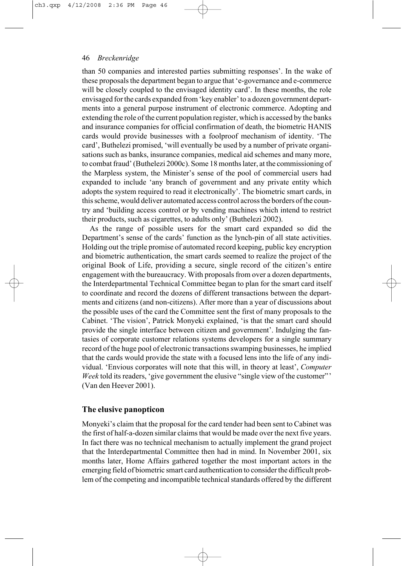than 50 companies and interested parties submitting responses'. In the wake of these proposals the department began to argue that 'e-governance and e-commerce will be closely coupled to the envisaged identity card'. In these months, the role envisaged for the cards expanded from 'key enabler' to a dozen government departments into a general purpose instrument of electronic commerce. Adopting and extending the role of the current population register, which is accessed by the banks and insurance companies for official confirmation of death, the biometric HANIS cards would provide businesses with a foolproof mechanism of identity. 'The card', Buthelezi promised, 'will eventually be used by a number of private organisations such as banks, insurance companies, medical aid schemes and many more, to combat fraud' (Buthelezi 2000c). Some 18 months later, at the commissioning of the Marpless system, the Minister's sense of the pool of commercial users had expanded to include 'any branch of government and any private entity which adopts the system required to read it electronically'. The biometric smart cards, in this scheme, would deliver automated access control across the borders of the country and 'building access control or by vending machines which intend to restrict their products, such as cigarettes, to adults only' (Buthelezi 2002).

As the range of possible users for the smart card expanded so did the Department's sense of the cards' function as the lynch-pin of all state activities. Holding out the triple promise of automated record keeping, public key encryption and biometric authentication, the smart cards seemed to realize the project of the original Book of Life, providing a secure, single record of the citizen's entire engagement with the bureaucracy. With proposals from over a dozen departments, the Interdepartmental Technical Committee began to plan for the smart card itself to coordinate and record the dozens of different transactions between the departments and citizens (and non-citizens). After more than a year of discussions about the possible uses of the card the Committee sent the first of many proposals to the Cabinet. 'The vision', Patrick Monyeki explained, 'is that the smart card should provide the single interface between citizen and government'. Indulging the fantasies of corporate customer relations systems developers for a single summary record of the huge pool of electronic transactions swamping businesses, he implied that the cards would provide the state with a focused lens into the life of any individual. 'Envious corporates will note that this will, in theory at least', *Computer Week* told its readers, 'give government the elusive "single view of the customer"' (Van den Heever 2001).

#### **The elusive panopticon**

Monyeki's claim that the proposal for the card tender had been sent to Cabinet was the first of half-a-dozen similar claims that would be made over the next five years. In fact there was no technical mechanism to actually implement the grand project that the Interdepartmental Committee then had in mind. In November 2001, six months later, Home Affairs gathered together the most important actors in the emerging field of biometric smart card authentication to consider the difficult problem of the competing and incompatible technical standards offered by the different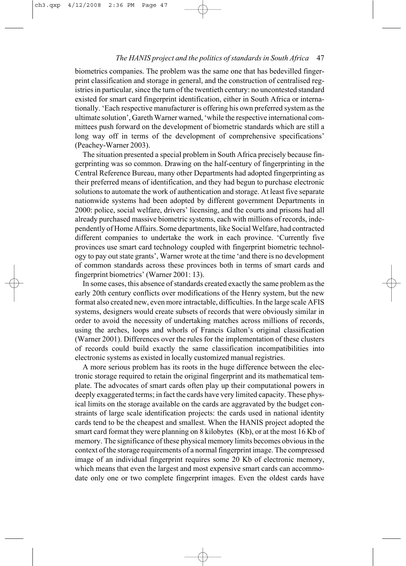biometrics companies. The problem was the same one that has bedevilled fingerprint classification and storage in general, and the construction of centralised registries in particular, since the turn of the twentieth century: no uncontested standard existed for smart card fingerprint identification, either in South Africa or internationally. 'Each respective manufacturer is offering his own preferred system as the ultimate solution', Gareth Warner warned, 'while the respective international committees push forward on the development of biometric standards which are still a long way off in terms of the development of comprehensive specifications' (Peachey-Warner 2003).

The situation presented a special problem in South Africa precisely because fingerprinting was so common. Drawing on the half-century of fingerprinting in the Central Reference Bureau, many other Departments had adopted fingerprinting as their preferred means of identification, and they had begun to purchase electronic solutions to automate the work of authentication and storage. At least five separate nationwide systems had been adopted by different government Departments in 2000: police, social welfare, drivers' licensing, and the courts and prisons had all already purchased massive biometric systems, each with millions of records, independently of Home Affairs. Some departments, like Social Welfare, had contracted different companies to undertake the work in each province. 'Currently five provinces use smart card technology coupled with fingerprint biometric technology to pay out state grants', Warner wrote at the time 'and there is no development of common standards across these provinces both in terms of smart cards and fingerprint biometrics' (Warner 2001: 13).

In some cases, this absence of standards created exactly the same problem as the early 20th century conflicts over modifications of the Henry system, but the new format also created new, even more intractable, difficulties. In the large scale AFIS systems, designers would create subsets of records that were obviously similar in order to avoid the necessity of undertaking matches across millions of records, using the arches, loops and whorls of Francis Galton's original classification (Warner 2001). Differences over the rules for the implementation of these clusters of records could build exactly the same classification incompatibilities into electronic systems as existed in locally customized manual registries.

A more serious problem has its roots in the huge difference between the electronic storage required to retain the original fingerprint and its mathematical template. The advocates of smart cards often play up their computational powers in deeply exaggerated terms; in fact the cards have very limited capacity. These physical limits on the storage available on the cards are aggravated by the budget constraints of large scale identification projects: the cards used in national identity cards tend to be the cheapest and smallest. When the HANIS project adopted the smart card format they were planning on 8 kilobytes (Kb), or at the most 16 Kb of memory. The significance of these physical memory limits becomes obvious in the context of the storage requirements of a normal fingerprint image. The compressed image of an individual fingerprint requires some 20 Kb of electronic memory, which means that even the largest and most expensive smart cards can accommodate only one or two complete fingerprint images. Even the oldest cards have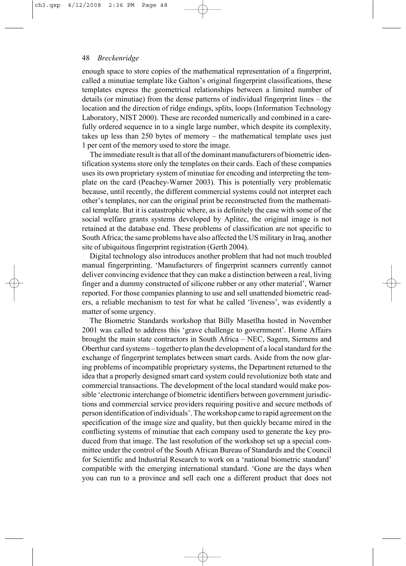enough space to store copies of the mathematical representation of a fingerprint, called a minutiae template like Galton's original fingerprint classifications, these templates express the geometrical relationships between a limited number of details (or minutiae) from the dense patterns of individual fingerprint lines – the location and the direction of ridge endings, splits, loops (Information Technology Laboratory, NIST 2000). These are recorded numerically and combined in a carefully ordered sequence in to a single large number, which despite its complexity, takes up less than 250 bytes of memory – the mathematical template uses just 1 per cent of the memory used to store the image.

The immediate result is that all of the dominant manufacturers of biometric identification systems store only the templates on their cards. Each of these companies uses its own proprietary system of minutiae for encoding and interpreting the template on the card (Peachey-Warner 2003). This is potentially very problematic because, until recently, the different commercial systems could not interpret each other's templates, nor can the original print be reconstructed from the mathematical template. But it is catastrophic where, as is definitely the case with some of the social welfare grants systems developed by Aplitec, the original image is not retained at the database end. These problems of classification are not specific to South Africa; the same problems have also affected the US military in Iraq, another site of ubiquitous fingerprint registration (Gerth 2004).

Digital technology also introduces another problem that had not much troubled manual fingerprinting. 'Manufacturers of fingerprint scanners currently cannot deliver convincing evidence that they can make a distinction between a real, living finger and a dummy constructed of silicone rubber or any other material', Warner reported. For those companies planning to use and sell unattended biometric readers, a reliable mechanism to test for what he called 'liveness', was evidently a matter of some urgency.

The Biometric Standards workshop that Billy Masetlha hosted in November 2001 was called to address this 'grave challenge to government'. Home Affairs brought the main state contractors in South Africa – NEC, Sagem, Siemens and Oberthur card systems – together to plan the development of a local standard for the exchange of fingerprint templates between smart cards. Aside from the now glaring problems of incompatible proprietary systems, the Department returned to the idea that a properly designed smart card system could revolutionize both state and commercial transactions. The development of the local standard would make possible 'electronic interchange of biometric identifiers between government jurisdictions and commercial service providers requiring positive and secure methods of person identification of individuals'. The workshop came to rapid agreement on the specification of the image size and quality, but then quickly became mired in the conflicting systems of minutiae that each company used to generate the key produced from that image. The last resolution of the workshop set up a special committee under the control of the South African Bureau of Standards and the Council for Scientific and Industrial Research to work on a 'national biometric standard' compatible with the emerging international standard. 'Gone are the days when you can run to a province and sell each one a different product that does not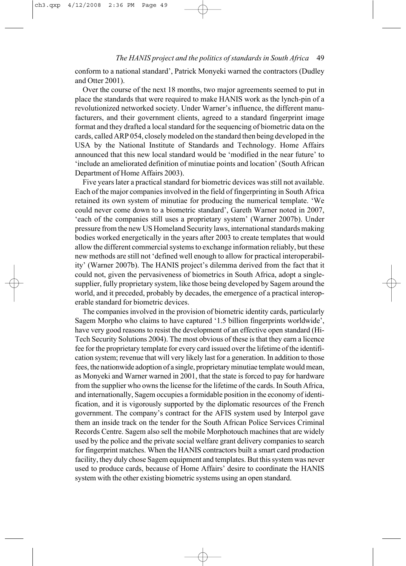conform to a national standard', Patrick Monyeki warned the contractors (Dudley and Otter 2001).

Over the course of the next 18 months, two major agreements seemed to put in place the standards that were required to make HANIS work as the lynch-pin of a revolutionized networked society. Under Warner's influence, the different manufacturers, and their government clients, agreed to a standard fingerprint image format and they drafted a local standard for the sequencing of biometric data on the cards, called ARP 054, closely modeled on the standard then being developed in the USA by the National Institute of Standards and Technology. Home Affairs announced that this new local standard would be 'modified in the near future' to 'include an ameliorated definition of minutiae points and location' (South African Department of Home Affairs 2003).

Five years later a practical standard for biometric devices was still not available. Each of the major companies involved in the field of fingerprinting in South Africa retained its own system of minutiae for producing the numerical template. 'We could never come down to a biometric standard', Gareth Warner noted in 2007, 'each of the companies still uses a proprietary system' (Warner 2007b). Under pressure from the new US Homeland Security laws, international standards making bodies worked energetically in the years after 2003 to create templates that would allow the different commercial systems to exchange information reliably, but these new methods are still not 'defined well enough to allow for practical interoperability' (Warner 2007b). The HANIS project's dilemma derived from the fact that it could not, given the pervasiveness of biometrics in South Africa, adopt a singlesupplier, fully proprietary system, like those being developed by Sagem around the world, and it preceded, probably by decades, the emergence of a practical interoperable standard for biometric devices.

The companies involved in the provision of biometric identity cards, particularly Sagem Morpho who claims to have captured '1.5 billion fingerprints worldwide', have very good reasons to resist the development of an effective open standard (Hi-Tech Security Solutions 2004). The most obvious of these is that they earn a licence fee for the proprietary template for every card issued over the lifetime of the identification system; revenue that will very likely last for a generation. In addition to those fees, the nationwide adoption of a single, proprietary minutiae template would mean, as Monyeki and Warner warned in 2001, that the state is forced to pay for hardware from the supplier who owns the license for the lifetime of the cards. In South Africa, and internationally, Sagem occupies a formidable position in the economy of identification, and it is vigorously supported by the diplomatic resources of the French government. The company's contract for the AFIS system used by Interpol gave them an inside track on the tender for the South African Police Services Criminal Records Centre. Sagem also sell the mobile Morphotouch machines that are widely used by the police and the private social welfare grant delivery companies to search for fingerprint matches. When the HANIS contractors built a smart card production facility, they duly chose Sagem equipment and templates. But this system was never used to produce cards, because of Home Affairs' desire to coordinate the HANIS system with the other existing biometric systems using an open standard.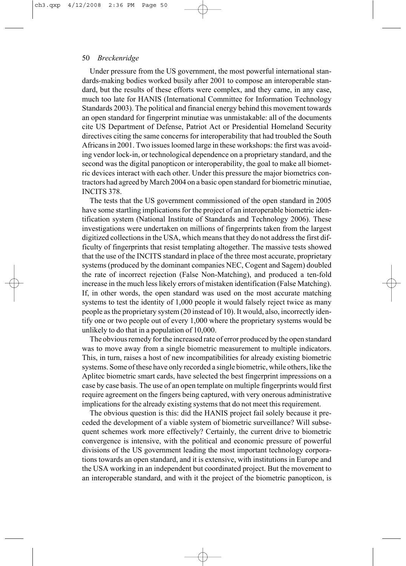Under pressure from the US government, the most powerful international standards-making bodies worked busily after 2001 to compose an interoperable standard, but the results of these efforts were complex, and they came, in any case, much too late for HANIS (International Committee for Information Technology Standards 2003). The political and financial energy behind this movement towards an open standard for fingerprint minutiae was unmistakable: all of the documents cite US Department of Defense, Patriot Act or Presidential Homeland Security directives citing the same concerns for interoperability that had troubled the South Africans in 2001. Two issues loomed large in these workshops: the first was avoiding vendor lock-in, or technological dependence on a proprietary standard, and the second was the digital panopticon or interoperability, the goal to make all biometric devices interact with each other. Under this pressure the major biometrics contractors had agreed by March 2004 on a basic open standard for biometric minutiae, INCITS 378.

The tests that the US government commissioned of the open standard in 2005 have some startling implications for the project of an interoperable biometric identification system (National Institute of Standards and Technology 2006). These investigations were undertaken on millions of fingerprints taken from the largest digitized collections in the USA, which means that they do not address the first difficulty of fingerprints that resist templating altogether. The massive tests showed that the use of the INCITS standard in place of the three most accurate, proprietary systems (produced by the dominant companies NEC, Cogent and Sagem) doubled the rate of incorrect rejection (False Non-Matching), and produced a ten-fold increase in the much less likely errors of mistaken identification (False Matching). If, in other words, the open standard was used on the most accurate matching systems to test the identity of 1,000 people it would falsely reject twice as many people as the proprietary system (20 instead of 10). It would, also, incorrectly identify one or two people out of every 1,000 where the proprietary systems would be unlikely to do that in a population of 10,000.

The obvious remedy for the increased rate of error produced by the open standard was to move away from a single biometric measurement to multiple indicators. This, in turn, raises a host of new incompatibilities for already existing biometric systems. Some of these have only recorded a single biometric, while others, like the Aplitec biometric smart cards, have selected the best fingerprint impressions on a case by case basis. The use of an open template on multiple fingerprints would first require agreement on the fingers being captured, with very onerous administrative implications for the already existing systems that do not meet this requirement.

The obvious question is this: did the HANIS project fail solely because it preceded the development of a viable system of biometric surveillance? Will subsequent schemes work more effectively? Certainly, the current drive to biometric convergence is intensive, with the political and economic pressure of powerful divisions of the US government leading the most important technology corporations towards an open standard, and it is extensive, with institutions in Europe and the USA working in an independent but coordinated project. But the movement to an interoperable standard, and with it the project of the biometric panopticon, is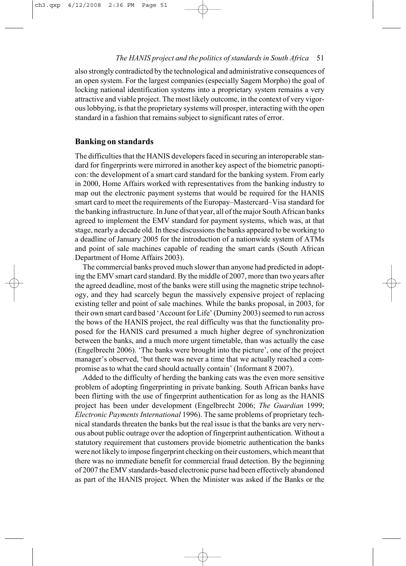also strongly contradicted by the technological and administrative consequences of an open system. For the largest companies (especially Sagem Morpho) the goal of locking national identification systems into a proprietary system remains a very attractive and viable project. The most likely outcome, in the context of very vigorous lobbying, is that the proprietary systems will prosper, interacting with the open standard in a fashion that remains subject to significant rates of error.

#### **Banking on standards**

The difficulties that the HANIS developers faced in securing an interoperable standard for fingerprints were mirrored in another key aspect of the biometric panopticon: the development of a smart card standard for the banking system. From early in 2000, Home Affairs worked with representatives from the banking industry to map out the electronic payment systems that would be required for the HANIS smart card to meet the requirements of the Europay–Mastercard–Visa standard for the banking infrastructure. In June of that year, all of the major South African banks agreed to implement the EMV standard for payment systems, which was, at that stage, nearly a decade old. In these discussions the banks appeared to be working to a deadline of January 2005 for the introduction of a nationwide system of ATMs and point of sale machines capable of reading the smart cards (South African Department of Home Affairs 2003).

The commercial banks proved much slower than anyone had predicted in adopting the EMV smart card standard. By the middle of 2007, more than two years after the agreed deadline, most of the banks were still using the magnetic stripe technology, and they had scarcely begun the massively expensive project of replacing existing teller and point of sale machines. While the banks proposal, in 2003, for their own smart card based 'Account for Life' (Duminy 2003) seemed to run across the bows of the HANIS project, the real difficulty was that the functionality proposed for the HANIS card presumed a much higher degree of synchronization between the banks, and a much more urgent timetable, than was actually the case (Engelbrecht 2006). 'The banks were brought into the picture', one of the project manager's observed, 'but there was never a time that we actually reached a compromise as to what the card should actually contain' (Informant 8 2007).

Added to the difficulty of herding the banking cats was the even more sensitive problem of adopting fingerprinting in private banking. South African banks have been flirting with the use of fingerprint authentication for as long as the HANIS project has been under development (Engelbrecht 2006; *The Guardian* 1999; *Electronic Payments International* 1996). The same problems of proprietary technical standards threaten the banks but the real issue is that the banks are very nervous about public outrage over the adoption of fingerprint authentication. Without a statutory requirement that customers provide biometric authentication the banks were not likely to impose fingerprint checking on their customers, which meant that there was no immediate benefit for commercial fraud detection. By the beginning of 2007 the EMV standards-based electronic purse had been effectively abandoned as part of the HANIS project. When the Minister was asked if the Banks or the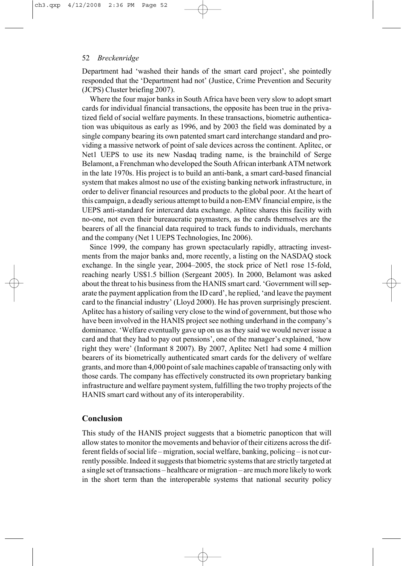Department had 'washed their hands of the smart card project', she pointedly responded that the 'Department had not' (Justice, Crime Prevention and Security (JCPS) Cluster briefing 2007).

Where the four major banks in South Africa have been very slow to adopt smart cards for individual financial transactions, the opposite has been true in the privatized field of social welfare payments. In these transactions, biometric authentication was ubiquitous as early as 1996, and by 2003 the field was dominated by a single company bearing its own patented smart card interchange standard and providing a massive network of point of sale devices across the continent. Aplitec, or Net1 UEPS to use its new Nasdaq trading name, is the brainchild of Serge Belamont, a Frenchman who developed the South African interbank ATM network in the late 1970s. His project is to build an anti-bank, a smart card-based financial system that makes almost no use of the existing banking network infrastructure, in order to deliver financial resources and products to the global poor. At the heart of this campaign, a deadly serious attempt to build a non-EMV financial empire, is the UEPS anti-standard for intercard data exchange. Aplitec shares this facility with no-one, not even their bureaucratic paymasters, as the cards themselves are the bearers of all the financial data required to track funds to individuals, merchants and the company (Net 1 UEPS Technologies, Inc 2006).

Since 1999, the company has grown spectacularly rapidly, attracting investments from the major banks and, more recently, a listing on the NASDAQ stock exchange. In the single year, 2004–2005, the stock price of Net1 rose 15-fold, reaching nearly US\$1.5 billion (Sergeant 2005). In 2000, Belamont was asked about the threat to his business from the HANIS smart card. 'Government will separate the payment application from the ID card', he replied, 'and leave the payment card to the financial industry' (Lloyd 2000). He has proven surprisingly prescient. Aplitec has a history of sailing very close to the wind of government, but those who have been involved in the HANIS project see nothing underhand in the company's dominance. 'Welfare eventually gave up on us as they said we would never issue a card and that they had to pay out pensions', one of the manager's explained, 'how right they were' (Informant 8 2007). By 2007, Aplitec Net1 had some 4 million bearers of its biometrically authenticated smart cards for the delivery of welfare grants, and more than 4,000 point of sale machines capable of transacting only with those cards. The company has effectively constructed its own proprietary banking infrastructure and welfare payment system, fulfilling the two trophy projects of the HANIS smart card without any of its interoperability.

#### **Conclusion**

This study of the HANIS project suggests that a biometric panopticon that will allow states to monitor the movements and behavior of their citizens across the different fields of social life – migration, social welfare, banking, policing – is not currently possible. Indeed it suggests that biometric systems that are strictly targeted at a single set of transactions – healthcare or migration – are much more likely to work in the short term than the interoperable systems that national security policy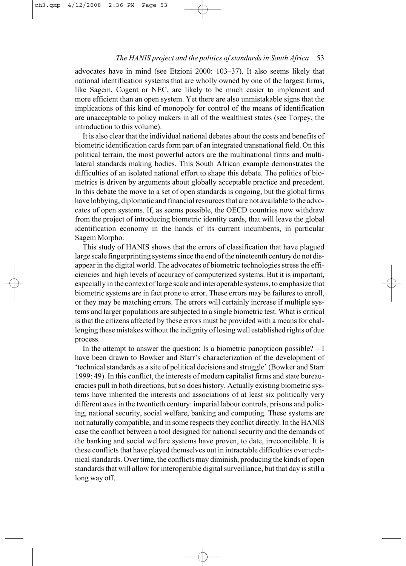advocates have in mind (see Etzioni 2000: 103–37). It also seems likely that national identification systems that are wholly owned by one of the largest firms, like Sagem, Cogent or NEC, are likely to be much easier to implement and more efficient than an open system. Yet there are also unmistakable signs that the implications of this kind of monopoly for control of the means of identification are unacceptable to policy makers in all of the wealthiest states (see Torpey, the introduction to this volume).

It is also clear that the individual national debates about the costs and benefits of biometric identification cards form part of an integrated transnational field. On this political terrain, the most powerful actors are the multinational firms and multilateral standards making bodies. This South African example demonstrates the difficulties of an isolated national effort to shape this debate. The politics of biometrics is driven by arguments about globally acceptable practice and precedent. In this debate the move to a set of open standards is ongoing, but the global firms have lobbying, diplomatic and financial resources that are not available to the advocates of open systems. If, as seems possible, the OECD countries now withdraw from the project of introducing biometric identity cards, that will leave the global identification economy in the hands of its current incumbents, in particular Sagem Morpho.

This study of HANIS shows that the errors of classification that have plagued large scale fingerprinting systems since the end of the nineteenth century do not disappear in the digital world. The advocates of biometric technologies stress the efficiencies and high levels of accuracy of computerized systems. But it is important, especially in the context of large scale and interoperable systems, to emphasize that biometric systems are in fact prone to error. These errors may be failures to enroll, or they may be matching errors. The errors will certainly increase if multiple systems and larger populations are subjected to a single biometric test. What is critical is that the citizens affected by these errors must be provided with a means for challenging these mistakes without the indignity of losing well established rights of due process.

In the attempt to answer the question: Is a biometric panopticon possible?  $- I$ have been drawn to Bowker and Starr's characterization of the development of 'technical standards as a site of political decisions and struggle' (Bowker and Starr 1999: 49). In this conflict, the interests of modern capitalist firms and state bureaucracies pull in both directions, but so does history. Actually existing biometric systems have inherited the interests and associations of at least six politically very different axes in the twentieth century: imperial labour controls, prisons and policing, national security, social welfare, banking and computing. These systems are not naturally compatible, and in some respects they conflict directly. In the HANIS case the conflict between a tool designed for national security and the demands of the banking and social welfare systems have proven, to date, irreconcilable. It is these conflicts that have played themselves out in intractable difficulties over technical standards. Over time, the conflicts may diminish, producing the kinds of open standards that will allow for interoperable digital surveillance, but that day is still a long way off.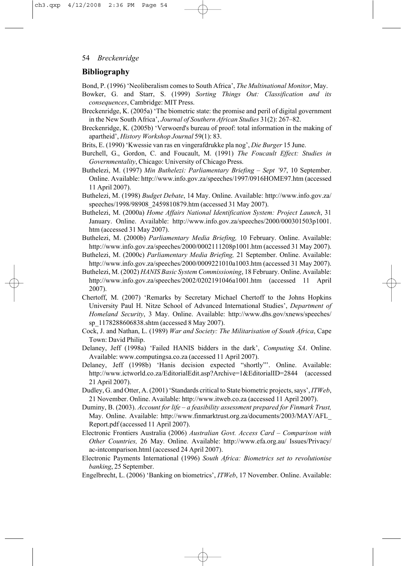#### **Bibliography**

Bond, P. (1996) 'Neoliberalism comes to South Africa', *The Multinational Monitor*, May.

Bowker, G. and Starr, S. (1999) *Sorting Things Out: Classification and its consequences*, Cambridge: MIT Press.

- Breckenridge, K. (2005a) 'The biometric state: the promise and peril of digital government in the New South Africa', *Journal of Southern African Studies* 31(2): 267–82.
- Breckenridge, K. (2005b) 'Verwoerd's bureau of proof: total information in the making of apartheid', *History Workshop Journal* 59(1): 83.
- Brits, E. (1990) 'Kwessie van ras en vingerafdrukke pla nog', *Die Burger* 15 June.
- Burchell, G., Gordon, C. and Foucault, M. (1991) *The Foucault Effect: Studies in Governmentality*, Chicago: University of Chicago Press.
- Buthelezi, M. (1997) *Min Buthelezi: Parliamentary Briefing Sept '97*, 10 September. Online. Available: http://www.info.gov.za/speeches/1997/0916HOME97.htm (accessed 11 April 2007).
- Buthelezi, M. (1998) *Budget Debate*, 14 May. Online. Available: http://www.info.gov.za/ speeches/1998/98908\_2459810879.htm (accessed 31 May 2007).
- Buthelezi, M. (2000a) *Home Affairs National Identification System: Project Launch*, 31 January. Online. Available: http://www.info.gov.za/speeches/2000/000301503p1001. htm (accessed 31 May 2007).
- Buthelezi, M. (2000b) *Parliamentary Media Briefing,* 10 February. Online. Available: http://www.info.gov.za/speeches/2000/0002111208p1001.htm (accessed 31 May 2007).
- Buthelezi, M. (2000c) *Parliamentary Media Briefing,* 21 September. Online. Available: http://www.info.gov.za/speeches/2000/0009221010a1003.htm (accessed 31 May 2007).
- Buthelezi, M. (2002) *HANIS Basic System Commissioning*, 18 February. Online. Available: http://www.info.gov.za/speeches/2002/0202191046a1001.htm (accessed 11 April 2007).
- Chertoff, M. (2007) 'Remarks by Secretary Michael Chertoff to the Johns Hopkins University Paul H. Nitze School of Advanced International Studies', *Department of Homeland Security*, 3 May. Online. Available: http://www.dhs.gov/xnews/speeches/ sp\_1178288606838.shtm (accessed 8 May 2007).
- Cock, J. and Nathan, L. (1989) *War and Society: The Militarisation of South Africa*, Cape Town: David Philip.
- Delaney, Jeff (1998a) 'Failed HANIS bidders in the dark', *Computing SA*. Online. Available: www.computingsa.co.za (accessed 11 April 2007).
- Delaney, Jeff (1998b) 'Hanis decision expected "shortly"'. Online. Available: http://www.ictworld.co.za/EditorialEdit.asp?Archive=1&EditorialID=2844 (accessed 21 April 2007).
- Dudley, G. and Otter, A. (2001) 'Standards critical to State biometric projects, says', *ITWeb*, 21 November. Online. Available: http://www.itweb.co.za (accessed 11 April 2007).
- Duminy, B. (2003). *Account for life a feasibility assessment prepared for Finmark Trust,* May. Online. Available: http://www.finmarktrust.org.za/documents/2003/MAY/AFL\_ Report.pdf (accessed 11 April 2007).
- Electronic Frontiers Australia (2006) *Australian Govt. Access Card Comparison with Other Countries,* 26 May. Online. Available: http://www.efa.org.au/ Issues/Privacy/ ac-intcomparison.html (accessed 24 April 2007).
- Electronic Payments International (1996) *South Africa: Biometrics set to revolutionise banking*, 25 September.
- Engelbrecht, L. (2006) 'Banking on biometrics', *ITWeb*, 17 November. Online. Available: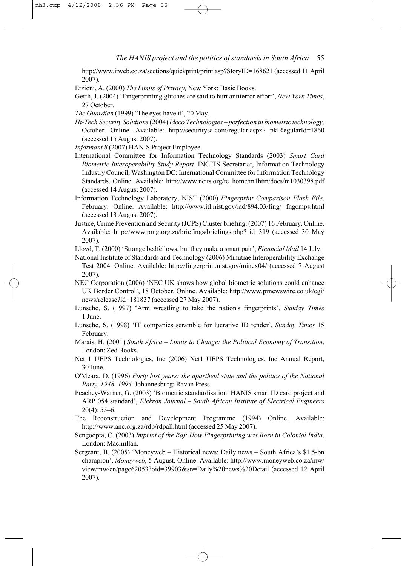http://www.itweb.co.za/sections/quickprint/print.asp?StoryID=168621 (accessed 11 April 2007).

Etzioni, A. (2000) *The Limits of Privacy,* New York: Basic Books.

Gerth, J. (2004) 'Fingerprinting glitches are said to hurt antiterror effort', *New York Times*, 27 October.

*The Guardian* (1999) 'The eyes have it', 20 May.

*Hi-Tech Security Solutions*(2004) *Ideco Technologies – perfection in biometric technology,* October. Online. Available: http://securitysa.com/regular.aspx? pklRegularId=1860 (accessed 15 August 2007).

*Informant 8* (2007) HANIS Project Employee.

- International Committee for Information Technology Standards (2003) *Smart Card Biometric Interoperability Study Report*. INCITS Secretariat, Information Technology Industry Council, Washington DC: International Committee for Information Technology Standards. Online. Available: http://www.ncits.org/tc\_home/m1htm/docs/m1030398.pdf (accessed 14 August 2007).
- Information Technology Laboratory, NIST (2000) *Fingerprint Comparison Flash File,* February. Online. Available: http://www.itl.nist.gov/iad/894.03/fing/ fngcmps.html (accessed 13 August 2007).
- Justice, Crime Prevention and Security (JCPS) Cluster briefing. (2007) 16 February. Online. Available: http://www.pmg.org.za/briefings/briefings.php? id=319 (accessed 30 May 2007).

Lloyd, T. (2000) 'Strange bedfellows, but they make a smart pair', *Financial Mail* 14 July.

National Institute of Standards and Technology (2006) Minutiae Interoperability Exchange Test 2004. Online. Available: http://fingerprint.nist.gov/minex04/ (accessed 7 August 2007).

NEC Corporation (2006) 'NEC UK shows how global biometric solutions could enhance UK Border Control', 18 October. Online. Available: http://www.prnewswire.co.uk/cgi/ news/release?id=181837 (accessed 27 May 2007).

Lunsche, S. (1997) 'Arm wrestling to take the nation's fingerprints', *Sunday Times* 1 June.

- Lunsche, S. (1998) 'IT companies scramble for lucrative ID tender', *Sunday Times* 15 February.
- Marais, H. (2001) *South Africa Limits to Change: the Political Economy of Transition*, London: Zed Books.
- Net 1 UEPS Technologies, Inc (2006) Net1 UEPS Technologies, Inc Annual Report, 30 June.
- O'Meara, D. (1996) *Forty lost years: the apartheid state and the politics of the National Party, 1948–1994.* Johannesburg: Ravan Press.
- Peachey-Warner, G. (2003) 'Biometric standardisation: HANIS smart ID card project and ARP 054 standard', *Elekron Journal – South African Institute of Electrical Engineers*  $20(4)$ : 55–6.
- The Reconstruction and Development Programme (1994) Online. Available: http://www.anc.org.za/rdp/rdpall.html (accessed 25 May 2007).
- Sengoopta, C. (2003) *Imprint of the Raj: How Fingerprinting was Born in Colonial India*, London: Macmillan.
- Sergeant, B. (2005) 'Moneyweb Historical news: Daily news South Africa's \$1.5-bn champion', *Moneyweb*, 5 August. Online. Available: http://www.moneyweb.co.za/mw/ view/mw/en/page62053?oid=39903&sn=Daily%20news%20Detail (accessed 12 April 2007).